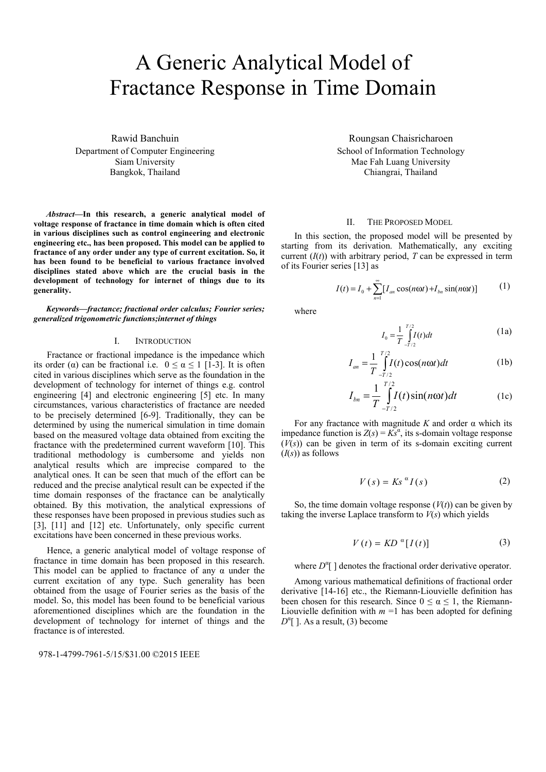# A Generic Analytical Model of Fractance Response in Time Domain

Rawid Banchuin Department of Computer Engineering Siam University Bangkok, Thailand

*Abstract***—In this research, a generic analytical model of voltage response of fractance in time domain which is often cited in various disciplines such as control engineering and electronic engineering etc., has been proposed. This model can be applied to fractance of any order under any type of current excitation. So, it has been found to be beneficial to various fractance involved disciplines stated above which are the crucial basis in the development of technology for internet of things due to its generality.** 

*Keywords—fractance; fractional order calculus; Fourier series; generalized trigonometric functions;internet of things* 

## I. INTRODUCTION

Fractance or fractional impedance is the impedance which its order (α) can be fractional i.e.  $0 \le \alpha \le 1$  [1-3]. It is often cited in various disciplines which serve as the foundation in the development of technology for internet of things e.g. control engineering [4] and electronic engineering [5] etc. In many circumstances, various characteristics of fractance are needed to be precisely determined [6-9]. Traditionally, they can be determined by using the numerical simulation in time domain based on the measured voltage data obtained from exciting the fractance with the predetermined current waveform [10]. This traditional methodology is cumbersome and yields non analytical results which are imprecise compared to the analytical ones. It can be seen that much of the effort can be reduced and the precise analytical result can be expected if the time domain responses of the fractance can be analytically obtained. By this motivation, the analytical expressions of these responses have been proposed in previous studies such as [3], [11] and [12] etc. Unfortunately, only specific current excitations have been concerned in these previous works.

Hence, a generic analytical model of voltage response of fractance in time domain has been proposed in this research. This model can be applied to fractance of any  $\alpha$  under the current excitation of any type. Such generality has been obtained from the usage of Fourier series as the basis of the model. So, this model has been found to be beneficial various aforementioned disciplines which are the foundation in the development of technology for internet of things and the fractance is of interested.

978-1-4799-7961-5/15/\$31.00 ©2015 IEEE

Roungsan Chaisricharoen School of Information Technology Mae Fah Luang University Chiangrai, Thailand

### II. THE PROPOSED MODEL

In this section, the proposed model will be presented by starting from its derivation. Mathematically, any exciting current  $(I(t))$  with arbitrary period, *T* can be expressed in term of its Fourier series [13] as

$$
I(t) = I_0 + \sum_{n=1}^{\infty} [I_{an} \cos(n\omega t) + I_{bn} \sin(n\omega t)] \tag{1}
$$

where

$$
I_0 = \frac{1}{T} \int_{-T/2}^{T/2} I(t) dt
$$
 (1a)

$$
I_{an} = \frac{1}{T} \int_{-T/2}^{T/2} I(t) \cos(n\omega t) dt
$$
 (1b)

$$
I_{bn} = \frac{1}{T} \int_{-T/2}^{T/2} I(t) \sin(n\omega t) dt
$$
 (1c)

For any fractance with magnitude *K* and order α which its impedance function is  $Z(s) = Ks^a$ , its s-domain voltage response  $(V(s))$  can be given in term of its s-domain exciting current (*I*(*s*)) as follows

$$
V(s) = Ks^{\alpha}I(s) \tag{2}
$$

So, the time domain voltage response  $(V(t))$  can be given by taking the inverse Laplace transform to *V*(*s*) which yields

$$
V(t) = KD^{\alpha}[I(t)] \tag{3}
$$

where  $D^{\alpha}$ [] denotes the fractional order derivative operator.

Among various mathematical definitions of fractional order derivative [14-16] etc., the Riemann-Liouvielle definition has been chosen for this research. Since  $0 \le \alpha \le 1$ , the Riemann-Liouvielle definition with  $m = 1$  has been adopted for defining  $D^{\alpha}$ [ ]. As a result, (3) become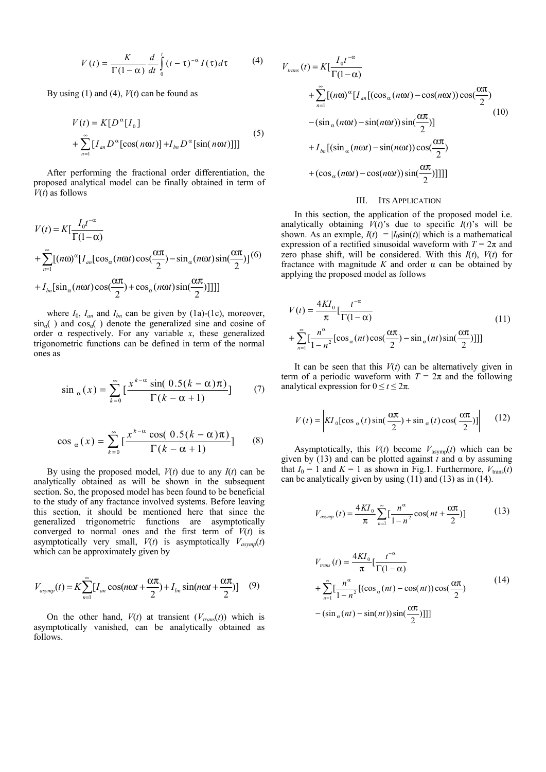$$
V(t) = \frac{K}{\Gamma(1-\alpha)} \frac{d}{dt} \int_{0}^{t} (t-\tau)^{-\alpha} I(\tau) d\tau
$$
 (4)

By using (1) and (4),  $V(t)$  can be found as

$$
V(t) = K[D^{\alpha}[I_0] + \sum_{n=1}^{\infty} [I_{an}D^{\alpha}[\cos(n\omega t)] + I_{bn}D^{\alpha}[\sin(n\omega t)]]]
$$
(5)

After performing the fractional order differentiation, the proposed analytical model can be finally obtained in term of *V*(*t*) as follows

$$
V(t) = K[\frac{I_0 t^{-\alpha}}{\Gamma(1-\alpha)}
$$
  
+ 
$$
\sum_{n=1}^{\infty} [(n\omega)^{\alpha} [I_{an}[\cos_{\alpha}(n\omega t)\cos(\frac{\alpha\pi}{2}) - \sin_{\alpha}(n\omega t)\sin(\frac{\alpha\pi}{2})]^{(6)}
$$
  
+ 
$$
I_{bn}[\sin_{\alpha}(n\omega t)\cos(\frac{\alpha\pi}{2}) + \cos_{\alpha}(n\omega t)\sin(\frac{\alpha\pi}{2})]]]]
$$

where  $I_0$ ,  $I_{an}$  and  $I_{bn}$  can be given by (1a)-(1c), moreover,  $\sin_{\alpha}$  ) and  $\cos_{\alpha}$  ) denote the generalized sine and cosine of order α respectively. For any variable *x*, these generalized trigonometric functions can be defined in term of the normal ones as

$$
\sin_{\alpha}(x) = \sum_{k=0}^{\infty} \left[ \frac{x^{k-\alpha} \sin(0.5(k-\alpha)\pi)}{\Gamma(k-\alpha+1)} \right] \tag{7}
$$

$$
\cos_{\alpha}(x) = \sum_{k=0}^{\infty} \left[ \frac{x^{k-\alpha} \cos((0.5(k-\alpha)\pi))}{\Gamma(k-\alpha+1)} \right] \tag{8}
$$

By using the proposed model,  $V(t)$  due to any  $I(t)$  can be analytically obtained as will be shown in the subsequent section. So, the proposed model has been found to be beneficial to the study of any fractance involved systems. Before leaving this section, it should be mentioned here that since the generalized trigonometric functions are asymptotically converged to normal ones and the first term of  $V(t)$  is asymptotically very small,  $V(t)$  is asymptotically  $V_{asvmp}(t)$ which can be approximately given by

$$
V_{asymp}(t) = K \sum_{n=1}^{\infty} [I_{an} \cos(n\omega t + \frac{\alpha \pi}{2}) + I_{bn} \sin(n\omega t + \frac{\alpha \pi}{2})] \quad (9)
$$

On the other hand,  $V(t)$  at transient  $(V_{trans}(t))$  which is asymptotically vanished, can be analytically obtained as follows.

$$
V_{trans}(t) = K[\frac{I_0 t^{-\alpha}}{\Gamma(1-\alpha)}
$$
  
+ 
$$
\sum_{n=1}^{\infty} [(n\omega)^{\alpha} [I_{an}[(\cos_{\alpha}(n\omega t) - \cos(n\omega t))\cos(\frac{\alpha\pi}{2})
$$
  
-(
$$
\sin_{\alpha}(n\omega t) - \sin(n\omega t))\sin(\frac{\alpha\pi}{2})]
$$
  
+ 
$$
I_{bn}[(\sin_{\alpha}(n\omega t) - \sin(n\omega t))\cos(\frac{\alpha\pi}{2})
$$
  
+ 
$$
(\cos_{\alpha}(n\omega t) - \cos(n\omega t))\sin(\frac{\alpha\pi}{2})]]]]
$$

# III. ITS APPLICATION

In this section, the application of the proposed model i.e. analytically obtaining  $V(t)$ 's due to specific  $I(t)$ 's will be shown. As an exmple,  $I(t) = |I_0 \sin(t)|$  which is a mathematical expression of a rectified sinusoidal waveform with  $T = 2\pi$  and zero phase shift, will be considered. With this  $I(t)$ ,  $V(t)$  for fractance with magnitude  $K$  and order  $\alpha$  can be obtained by applying the proposed model as follows

$$
V(t) = \frac{4KI_0}{\pi} \left[ \frac{t^{-\alpha}}{\Gamma(1-\alpha)} - \frac{2\pi i}{\Gamma(1-\alpha)} \right]
$$
  
+ 
$$
\sum_{n=1}^{\infty} \left[ \frac{n^{\alpha}}{1-n^2} [\cos_{\alpha}(nt)\cos(\frac{\alpha\pi}{2}) - \sin_{\alpha}(nt)\sin(\frac{\alpha\pi}{2})]] \right]
$$
 (11)

It can be seen that this  $V(t)$  can be alternatively given in term of a periodic waveform with  $T = 2\pi$  and the following analytical expression for  $0 \le t \le 2\pi$ .

$$
V(t) = \left| K I_0 \left[ \cos_{\alpha}(t) \sin(\frac{\alpha \pi}{2}) + \sin_{\alpha}(t) \cos(\frac{\alpha \pi}{2}) \right] \right| \tag{12}
$$

Asymptotically, this  $V(t)$  become  $V_{\text{asymp}}(t)$  which can be given by (13) and can be plotted against  $t$  and  $\alpha$  by assuming that  $I_0 = 1$  and  $K = 1$  as shown in Fig.1. Furthermore,  $V_{\text{trans}}(\vec{t})$ can be analytically given by using  $(11)$  and  $(13)$  as in  $(14)$ .

$$
V_{asymp}(t) = \frac{4K I_0}{\pi} \sum_{n=1}^{\infty} \left[ \frac{n^{\alpha}}{1 - n^2} \cos\left(nt + \frac{\alpha \pi}{2}\right) \right]
$$
(13)

$$
V_{trans}(t) = \frac{4KI_0}{\pi} \left[ \frac{t^{-\alpha}}{\Gamma(1-\alpha)} + \sum_{n=1}^{\infty} \left[ \frac{n^{\alpha}}{1-n^2} \left[ (\cos_{\alpha}(nt) - \cos(nt)) \cos(\frac{\alpha\pi}{2}) - (\sin_{\alpha}(nt) - \sin(nt)) \sin(\frac{\alpha\pi}{2}) \right] \right] \right]
$$
(14)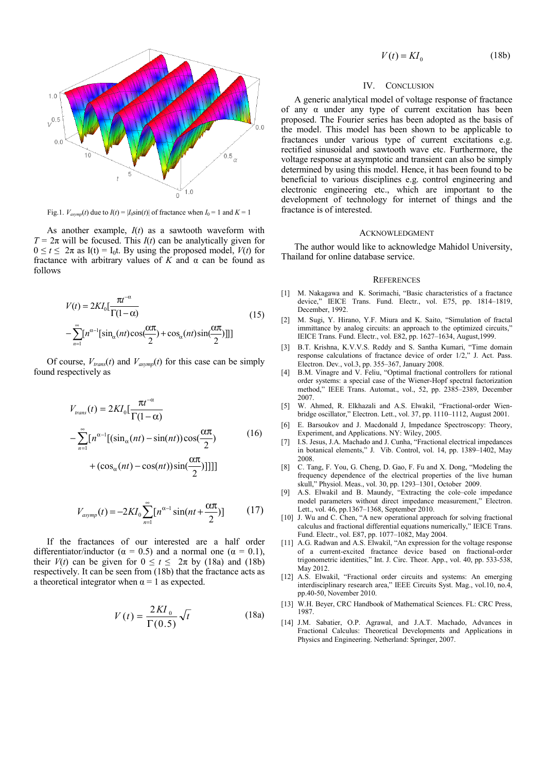

Fig.1.  $V_{asymp}(t)$  due to  $I(t) = |I_0 \sin(t)|$  of fractance when  $I_0 = 1$  and  $K = 1$ 

As another example, *I*(*t*) as a sawtooth waveform with  $T = 2\pi$  will be focused. This  $I(t)$  can be analytically given for  $0 \le t \le 2\pi$  as I(t) = I<sub>0</sub>t. By using the proposed model,  $V(t)$  for fractance with arbitrary values of  $K$  and  $\alpha$  can be found as follows

$$
V(t) = 2KI_0 \left[ \frac{\pi t^{-\alpha}}{\Gamma(1-\alpha)} - \sum_{n=1}^{\infty} \left[ n^{\alpha-1} [\sin_{\alpha}(nt)\cos(\frac{\alpha\pi}{2}) + \cos_{\alpha}(nt)\sin(\frac{\alpha\pi}{2}) \right] \right]
$$
(15)

Of course,  $V_{trans}(t)$  and  $V_{asymp}(t)$  for this case can be simply found respectively as

$$
V_{trans}(t) = 2KI_0 \left[ \frac{\pi t^{-\alpha}}{\Gamma(1-\alpha)} - \sum_{n=1}^{\infty} \left[ n^{\alpha-1} \left[ (\sin_{\alpha}(nt) - \sin(nt)) \cos(\frac{\alpha \pi}{2}) \right] \right] \right]
$$
(16)

+ 
$$
(\cos_{\alpha}(nt) - \cos(nt))\sin(\frac{\alpha\pi}{2})]]]]
$$

$$
V_{asymp}(t) = -2KI_0 \sum_{n=1}^{\infty} \left[ n^{\alpha-1} \sin(nt + \frac{\alpha \pi}{2}) \right] \tag{17}
$$

If the fractances of our interested are a half order differentiator/inductor ( $\alpha = 0.5$ ) and a normal one ( $\alpha = 0.1$ ), their  $V(t)$  can be given for  $0 \le t \le 2\pi$  by (18a) and (18b) respectively. It can be seen from (18b) that the fractance acts as a theoretical integrator when  $\alpha = 1$  as expected.

$$
V(t) = \frac{2K I_0}{\Gamma(0.5)} \sqrt{t}
$$
 (18a)

$$
V(t) = K I_0 \tag{18b}
$$

## IV. CONCLUSION

A generic analytical model of voltage response of fractance of any α under any type of current excitation has been proposed. The Fourier series has been adopted as the basis of the model. This model has been shown to be applicable to fractances under various type of current excitations e.g. rectified sinusoidal and sawtooth wave etc. Furthermore, the voltage response at asymptotic and transient can also be simply determined by using this model. Hence, it has been found to be beneficial to various disciplines e.g. control engineering and electronic engineering etc., which are important to the development of technology for internet of things and the fractance is of interested.

#### ACKNOWLEDGMENT

The author would like to acknowledge Mahidol University, Thailand for online database service.

#### **REFERENCES**

- [1] M. Nakagawa and K. Sorimachi, "Basic characteristics of a fractance device," IEICE Trans. Fund. Electr., vol. E75, pp. 1814–1819, December, 1992.
- [2] M. Sugi, Y. Hirano, Y.F. Miura and K. Saito, "Simulation of fractal immittance by analog circuits: an approach to the optimized circuits," IEICE Trans. Fund. Electr., vol. E82, pp. 1627–1634, August,1999.
- [3] B.T. Krishna, K.V.V.S. Reddy and S. Santha Kumari, "Time domain response calculations of fractance device of order 1/2," J. Act. Pass. Electron. Dev*.*, vol.3, pp. 355–367, January 2008.
- [4] B.M. Vinagre and V. Feliu, "Optimal fractional controllers for rational order systems: a special case of the Wiener-Hopf spectral factorization method," IEEE Trans. Automat., vol., 52, pp. 2385–2389, December 2007.
- [5] W. Ahmed, R. Elkhazali and A.S. Elwakil, "Fractional-order Wienbridge oscillator," Electron. Lett., vol. 37, pp. 1110–1112, August 2001.
- [6] E. Barsoukov and J. Macdonald J, Impedance Spectroscopy: Theory, Experiment, and Applications. NY: Wiley, 2005.
- [7] I.S. Jesus, J.A. Machado and J. Cunha, "Fractional electrical impedances" in botanical elements," J. Vib. Control, vol. 14, pp. 1389–1402, May 2008.
- [8] C. Tang, F. You, G. Cheng, D. Gao, F. Fu and X. Dong, "Modeling the frequency dependence of the electrical properties of the live human skull," Physiol. Meas., vol. 30, pp. 1293–1301, October 2009.
- [9] A.S. Elwakil and B. Maundy, "Extracting the cole–cole impedance model parameters without direct impedance measurement," Electron. Lett., vol. 46, pp.1367–1368, September 2010.
- [10] J. Wu and C. Chen, "A new operational approach for solving fractional calculus and fractional differential equations numerically," IEICE Trans. Fund. Electr., vol. E87, pp. 1077–1082, May 2004.
- [11] A.G. Radwan and A.S. Elwakil, "An expression for the voltage response of a current-excited fractance device based on fractional-order trigonometric identities," Int. J. Circ. Theor. App., vol. 40, pp. 533-538, May 2012.
- [12] A.S. Elwakil, "Fractional order circuits and systems: An emerging interdisciplinary research area," IEEE Circuits Syst. Mag., vol.10, no.4, pp.40-50, November 2010.
- [13] W.H. Beyer, CRC Handbook of Mathematical Sciences. FL: CRC Press, 1987.
- [14] J.M. Sabatier, O.P. Agrawal, and J.A.T. Machado, Advances in Fractional Calculus: Theoretical Developments and Applications in Physics and Engineering. Netherland: Springer, 2007.